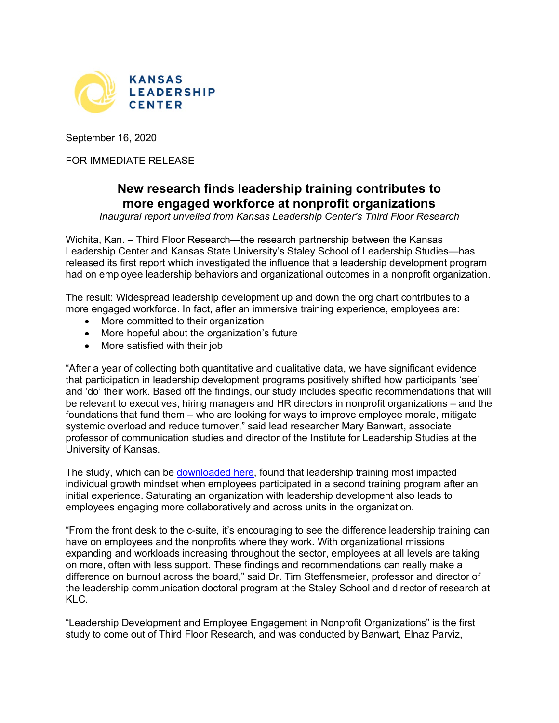

September 16, 2020

FOR IMMEDIATE RELEASE

## **New research finds leadership training contributes to more engaged workforce at nonprofit organizations**

*Inaugural report unveiled from Kansas Leadership Center's Third Floor Research*

Wichita, Kan. – Third Floor Research—the research partnership between the Kansas Leadership Center and Kansas State University's Staley School of Leadership Studies—has released its first report which investigated the influence that a leadership development program had on employee leadership behaviors and organizational outcomes in a nonprofit organization.

The result: Widespread leadership development up and down the org chart contributes to a more engaged workforce. In fact, after an immersive training experience, employees are:

- More committed to their organization
- More hopeful about the organization's future
- More satisfied with their job

"After a year of collecting both quantitative and qualitative data, we have significant evidence that participation in leadership development programs positively shifted how participants 'see' and 'do' their work. Based off the findings, our study includes specific recommendations that will be relevant to executives, hiring managers and HR directors in nonprofit organizations – and the foundations that fund them – who are looking for ways to improve employee morale, mitigate systemic overload and reduce turnover," said lead researcher Mary Banwart, associate professor of communication studies and director of the Institute for Leadership Studies at the University of Kansas.

The study, which can be [downloaded here,](https://kansasleadershipcenter.org/third-floor-research/third-floor-research-report-non-profits/) found that leadership training most impacted individual growth mindset when employees participated in a second training program after an initial experience. Saturating an organization with leadership development also leads to employees engaging more collaboratively and across units in the organization.

"From the front desk to the c-suite, it's encouraging to see the difference leadership training can have on employees and the nonprofits where they work. With organizational missions expanding and workloads increasing throughout the sector, employees at all levels are taking on more, often with less support. These findings and recommendations can really make a difference on burnout across the board," said Dr. Tim Steffensmeier, professor and director of the leadership communication doctoral program at the Staley School and director of research at KLC.

"Leadership Development and Employee Engagement in Nonprofit Organizations" is the first study to come out of Third Floor Research, and was conducted by Banwart, Elnaz Parviz,